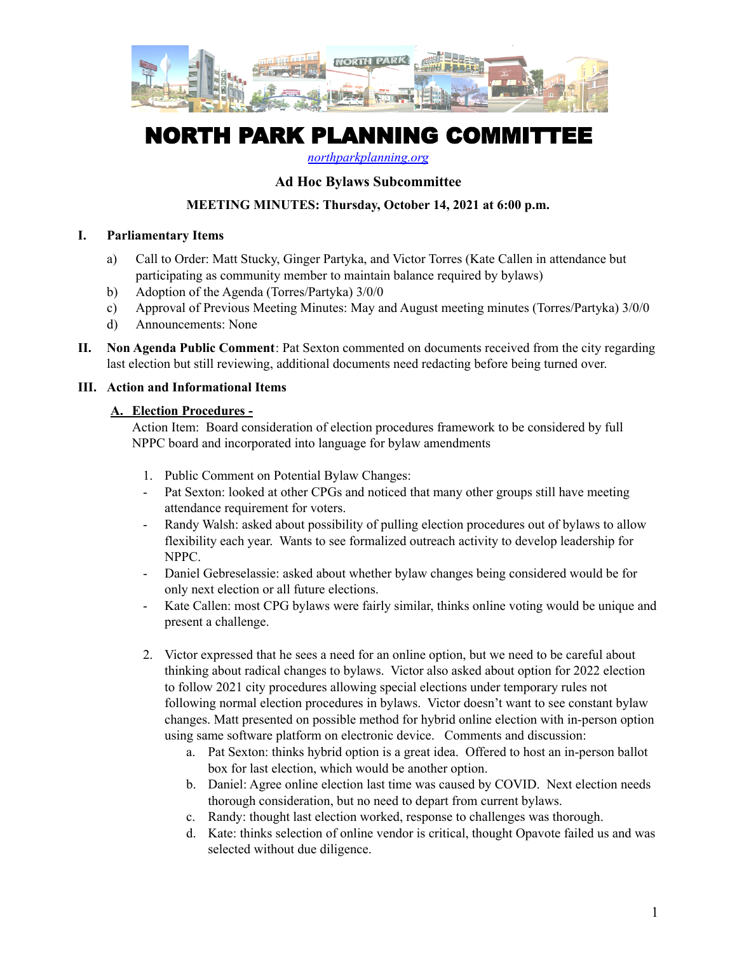

# NORTH PARK PLANNING COMMITTEE

*[northparkplanning.org](http://www.northparkplanning.org)*

## **Ad Hoc Bylaws Subcommittee**

### **MEETING MINUTES: Thursday, October 14, 2021 at 6:00 p.m.**

#### **I. Parliamentary Items**

- a) Call to Order: Matt Stucky, Ginger Partyka, and Victor Torres (Kate Callen in attendance but participating as community member to maintain balance required by bylaws)
- b) Adoption of the Agenda (Torres/Partyka) 3/0/0
- c) Approval of Previous Meeting Minutes: May and August meeting minutes (Torres/Partyka) 3/0/0
- d) Announcements: None
- **II. Non Agenda Public Comment**: Pat Sexton commented on documents received from the city regarding last election but still reviewing, additional documents need redacting before being turned over.

#### **III. Action and Informational Items**

#### **A. Election Procedures -**

Action Item: Board consideration of election procedures framework to be considered by full NPPC board and incorporated into language for bylaw amendments

- 1. Public Comment on Potential Bylaw Changes:
- Pat Sexton: looked at other CPGs and noticed that many other groups still have meeting attendance requirement for voters.
- Randy Walsh: asked about possibility of pulling election procedures out of bylaws to allow flexibility each year. Wants to see formalized outreach activity to develop leadership for NPPC.
- Daniel Gebreselassie: asked about whether bylaw changes being considered would be for only next election or all future elections.
- Kate Callen: most CPG bylaws were fairly similar, thinks online voting would be unique and present a challenge.
- 2. Victor expressed that he sees a need for an online option, but we need to be careful about thinking about radical changes to bylaws. Victor also asked about option for 2022 election to follow 2021 city procedures allowing special elections under temporary rules not following normal election procedures in bylaws. Victor doesn't want to see constant bylaw changes. Matt presented on possible method for hybrid online election with in-person option using same software platform on electronic device. Comments and discussion:
	- a. Pat Sexton: thinks hybrid option is a great idea. Offered to host an in-person ballot box for last election, which would be another option.
	- b. Daniel: Agree online election last time was caused by COVID. Next election needs thorough consideration, but no need to depart from current bylaws.
	- c. Randy: thought last election worked, response to challenges was thorough.
	- d. Kate: thinks selection of online vendor is critical, thought Opavote failed us and was selected without due diligence.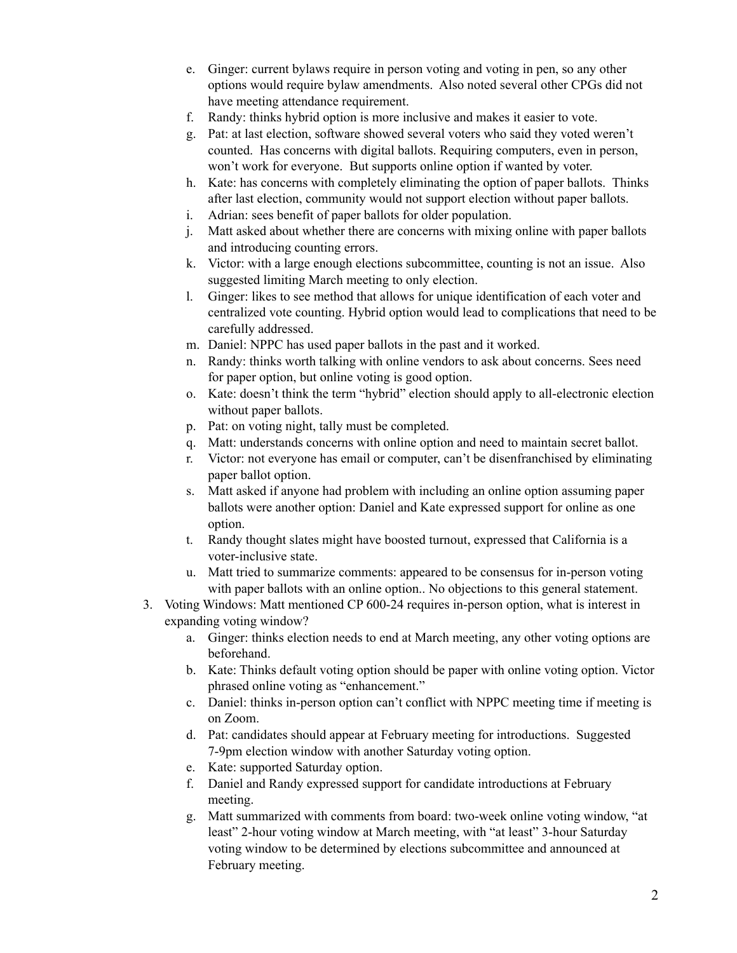- e. Ginger: current bylaws require in person voting and voting in pen, so any other options would require bylaw amendments. Also noted several other CPGs did not have meeting attendance requirement.
- f. Randy: thinks hybrid option is more inclusive and makes it easier to vote.
- g. Pat: at last election, software showed several voters who said they voted weren't counted. Has concerns with digital ballots. Requiring computers, even in person, won't work for everyone. But supports online option if wanted by voter.
- h. Kate: has concerns with completely eliminating the option of paper ballots. Thinks after last election, community would not support election without paper ballots.
- i. Adrian: sees benefit of paper ballots for older population.
- j. Matt asked about whether there are concerns with mixing online with paper ballots and introducing counting errors.
- k. Victor: with a large enough elections subcommittee, counting is not an issue. Also suggested limiting March meeting to only election.
- l. Ginger: likes to see method that allows for unique identification of each voter and centralized vote counting. Hybrid option would lead to complications that need to be carefully addressed.
- m. Daniel: NPPC has used paper ballots in the past and it worked.
- n. Randy: thinks worth talking with online vendors to ask about concerns. Sees need for paper option, but online voting is good option.
- o. Kate: doesn't think the term "hybrid" election should apply to all-electronic election without paper ballots.
- p. Pat: on voting night, tally must be completed.
- q. Matt: understands concerns with online option and need to maintain secret ballot.
- r. Victor: not everyone has email or computer, can't be disenfranchised by eliminating paper ballot option.
- s. Matt asked if anyone had problem with including an online option assuming paper ballots were another option: Daniel and Kate expressed support for online as one option.
- t. Randy thought slates might have boosted turnout, expressed that California is a voter-inclusive state.
- u. Matt tried to summarize comments: appeared to be consensus for in-person voting with paper ballots with an online option.. No objections to this general statement.
- 3. Voting Windows: Matt mentioned CP 600-24 requires in-person option, what is interest in expanding voting window?
	- a. Ginger: thinks election needs to end at March meeting, any other voting options are beforehand.
	- b. Kate: Thinks default voting option should be paper with online voting option. Victor phrased online voting as "enhancement."
	- c. Daniel: thinks in-person option can't conflict with NPPC meeting time if meeting is on Zoom.
	- d. Pat: candidates should appear at February meeting for introductions. Suggested 7-9pm election window with another Saturday voting option.
	- e. Kate: supported Saturday option.
	- f. Daniel and Randy expressed support for candidate introductions at February meeting.
	- g. Matt summarized with comments from board: two-week online voting window, "at least" 2-hour voting window at March meeting, with "at least" 3-hour Saturday voting window to be determined by elections subcommittee and announced at February meeting.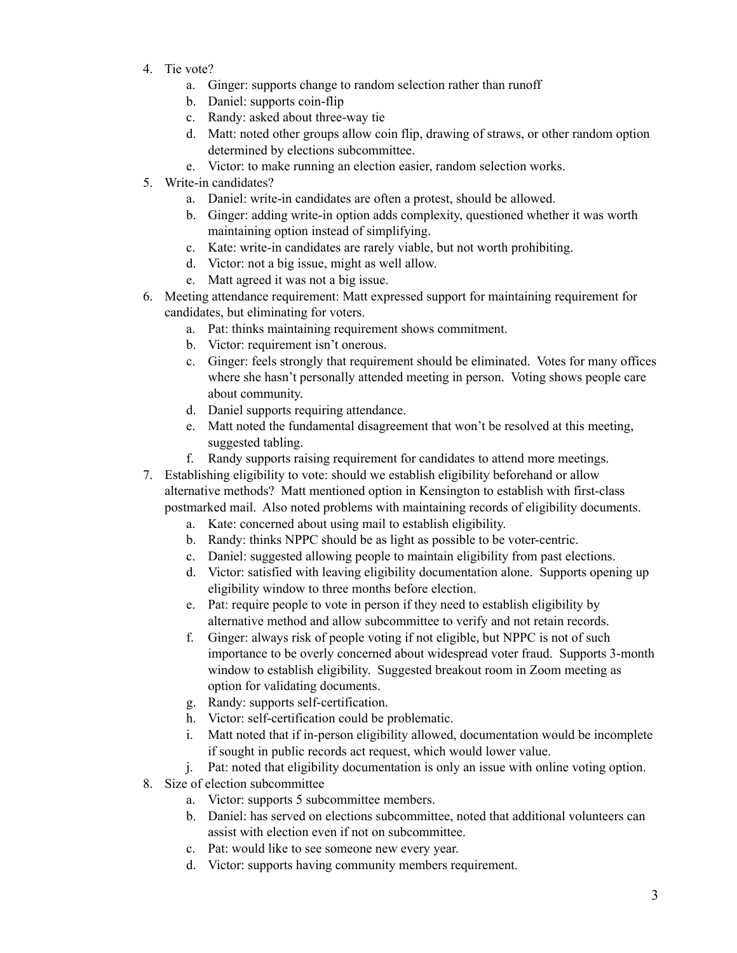- 4. Tie vote?
	- a. Ginger: supports change to random selection rather than runoff
	- b. Daniel: supports coin-flip
	- c. Randy: asked about three-way tie
	- d. Matt: noted other groups allow coin flip, drawing of straws, or other random option determined by elections subcommittee.
	- e. Victor: to make running an election easier, random selection works.
- 5. Write-in candidates?
	- a. Daniel: write-in candidates are often a protest, should be allowed.
	- b. Ginger: adding write-in option adds complexity, questioned whether it was worth maintaining option instead of simplifying.
	- c. Kate: write-in candidates are rarely viable, but not worth prohibiting.
	- d. Victor: not a big issue, might as well allow.
	- e. Matt agreed it was not a big issue.
- 6. Meeting attendance requirement: Matt expressed support for maintaining requirement for candidates, but eliminating for voters.
	- a. Pat: thinks maintaining requirement shows commitment.
	- b. Victor: requirement isn't onerous.
	- c. Ginger: feels strongly that requirement should be eliminated. Votes for many offices where she hasn't personally attended meeting in person. Voting shows people care about community.
	- d. Daniel supports requiring attendance.
	- e. Matt noted the fundamental disagreement that won't be resolved at this meeting, suggested tabling.
	- f. Randy supports raising requirement for candidates to attend more meetings.
- 7. Establishing eligibility to vote: should we establish eligibility beforehand or allow alternative methods? Matt mentioned option in Kensington to establish with first-class postmarked mail. Also noted problems with maintaining records of eligibility documents.
	- a. Kate: concerned about using mail to establish eligibility.
	- b. Randy: thinks NPPC should be as light as possible to be voter-centric.
	- c. Daniel: suggested allowing people to maintain eligibility from past elections.
	- d. Victor: satisfied with leaving eligibility documentation alone. Supports opening up eligibility window to three months before election.
	- e. Pat: require people to vote in person if they need to establish eligibility by alternative method and allow subcommittee to verify and not retain records.
	- f. Ginger: always risk of people voting if not eligible, but NPPC is not of such importance to be overly concerned about widespread voter fraud. Supports 3-month window to establish eligibility. Suggested breakout room in Zoom meeting as option for validating documents.
	- g. Randy: supports self-certification.
	- h. Victor: self-certification could be problematic.
	- i. Matt noted that if in-person eligibility allowed, documentation would be incomplete if sought in public records act request, which would lower value.
	- j. Pat: noted that eligibility documentation is only an issue with online voting option.
- 8. Size of election subcommittee
	- a. Victor: supports 5 subcommittee members.
	- b. Daniel: has served on elections subcommittee, noted that additional volunteers can assist with election even if not on subcommittee.
	- c. Pat: would like to see someone new every year.
	- d. Victor: supports having community members requirement.